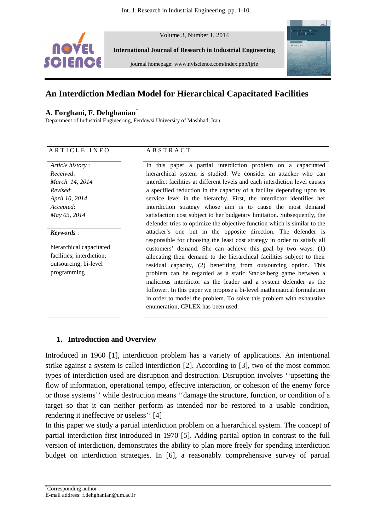

Volume 3, Number 1, 2014

**International Journal of Research in Industrial Engineering** 

journal homepage: www.nvlscience.com/index.php/ijrie



# **An Interdiction Median Model for Hierarchical Capacitated Facilities**

## **A. Forghani, F. Dehghanian**\*

Department of Industrial Engineering, Ferdowsi University of Mashhad, Iran

| ARTICLE INFO |  |
|--------------|--|
|--------------|--|

#### *Article history* : *Received*: *March 14, 2014 Revised*: *April 10, 2014 Accepted*: *May 03, 2014*

#### *Keywords* :

hierarchical capacitated facilities; interdiction; outsourcing; bi-level programming

#### A B S T R A C T

In this paper a partial interdiction problem on a capacitated hierarchical system is studied. We consider an attacker who can interdict facilities at different levels and each interdiction level causes a specified reduction in the capacity of a facility depending upon its service level in the hierarchy. First, the interdictor identifies her interdiction strategy whose aim is to cause the most demand satisfaction cost subject to her budgetary limitation. Subsequently, the defender tries to optimize the objective function which is similar to the attacker's one but in the opposite direction. The defender is responsible for choosing the least cost strategy in order to satisfy all customers' demand. She can achieve this goal by two ways: (1) allocating their demand to the hierarchical facilities subject to their residual capacity, (2) benefiting from outsourcing option. This problem can be regarded as a static Stackelberg game between a malicious interdictor as the leader and a system defender as the follower. In this paper we propose a bi-level mathematical formulation in order to model the problem. To solve this problem with exhaustive enumeration, CPLEX has been used.

# **1. Introduction and Overview**

Introduced in 1960 [1], interdiction problem has a variety of applications. An intentional strike against a system is called interdiction [2]. According to [3], two of the most common types of interdiction used are disruption and destruction. Disruption involves ''upsetting the flow of information, operational tempo, effective interaction, or cohesion of the enemy force or those systems'' while destruction means ''damage the structure, function, or condition of a target so that it can neither perform as intended nor be restored to a usable condition, rendering it ineffective or useless'' [4]

In this paper we study a partial interdiction problem on a hierarchical system. The concept of partial interdiction first introduced in 1970 [5]. Adding partial option in contrast to the full version of interdiction, demonstrates the ability to plan more freely for spending interdiction budget on interdiction strategies. In [6], a reasonably comprehensive survey of partial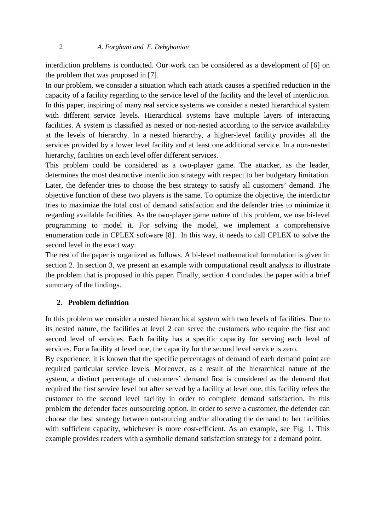interdiction problems is conducted. Our work can be considered as a development of [6] on the problem that was proposed in [7].

In our problem, we consider a situation which each attack causes a specified reduction in the capacity of a facility regarding to the service level of the facility and the level of interdiction. In this paper, inspiring of many real service systems we consider a nested hierarchical system with different service levels. Hierarchical systems have multiple layers of interacting facilities. A system is classified as nested or non-nested according to the service availability at the levels of hierarchy. In a nested hierarchy, a higher-level facility provides all the services provided by a lower level facility and at least one additional service. In a non-nested hierarchy, facilities on each level offer different services.

This problem could be considered as a two-player game. The attacker, as the leader, determines the most destructive interdiction strategy with respect to her budgetary limitation. Later, the defender tries to choose the best strategy to satisfy all customers' demand. The objective function of these two players is the same. To optimize the objective, the interdictor tries to maximize the total cost of demand satisfaction and the defender tries to minimize it regarding available facilities. As the two-player game nature of this problem, we use bi-level programming to model it. For solving the model, we implement a comprehensive enumeration code in CPLEX software [8]. In this way, it needs to call CPLEX to solve the second level in the exact way.

The rest of the paper is organized as follows. A bi-level mathematical formulation is given in section 2. In section 3, we present an example with computational result analysis to illustrate the problem that is proposed in this paper. Finally, section 4 concludes the paper with a brief summary of the findings.

# **2. Problem definition**

In this problem we consider a nested hierarchical system with two levels of facilities. Due to its nested nature, the facilities at level 2 can serve the customers who require the first and second level of services. Each facility has a specific capacity for serving each level of services. For a facility at level one, the capacity for the second level service is zero.

By experience, it is known that the specific percentages of demand of each demand point are required particular service levels. Moreover, as a result of the hierarchical nature of the system, a distinct percentage of customers' demand first is considered as the demand that required the first service level but after served by a facility at level one, this facility refers the customer to the second level facility in order to complete demand satisfaction. In this problem the defender faces outsourcing option. In order to serve a customer, the defender can choose the best strategy between outsourcing and/or allocating the demand to her facilities with sufficient capacity, whichever is more cost-efficient. As an example, see Fig. 1. This example provides readers with a symbolic demand satisfaction strategy for a demand point.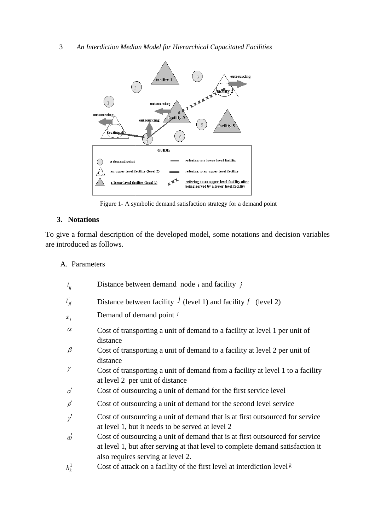3 *An Interdiction Median Model for Hierarchical Capacitated Facilities*



Figure 1- A symbolic demand satisfaction strategy for a demand point

## **3. Notations**

To give a formal description of the developed model, some notations and decision variables are introduced as follows.

#### A. Parameters

| $l_{ij}$  | Distance between demand node $i$ and facility $j$                                                                                                                                                   |
|-----------|-----------------------------------------------------------------------------------------------------------------------------------------------------------------------------------------------------|
| $l_{if}$  | Distance between facility $\hat{J}$ (level 1) and facility f (level 2)                                                                                                                              |
| $z_i$     | Demand of demand point i                                                                                                                                                                            |
| $\alpha$  | Cost of transporting a unit of demand to a facility at level 1 per unit of<br>distance                                                                                                              |
| β         | Cost of transporting a unit of demand to a facility at level 2 per unit of<br>distance                                                                                                              |
| γ         | Cost of transporting a unit of demand from a facility at level 1 to a facility<br>at level 2 per unit of distance                                                                                   |
| $\alpha$  | Cost of outsourcing a unit of demand for the first service level                                                                                                                                    |
| $\beta'$  | Cost of outsourcing a unit of demand for the second level service                                                                                                                                   |
| $\gamma$  | Cost of outsourcing a unit of demand that is at first outsourced for service<br>at level 1, but it needs to be served at level 2                                                                    |
| $\vec{a}$ | Cost of outsourcing a unit of demand that is at first outsourced for service<br>at level 1, but after serving at that level to complete demand satisfaction it<br>also requires serving at level 2. |
| $h_k^1$   | Cost of attack on a facility of the first level at interdiction level $k$                                                                                                                           |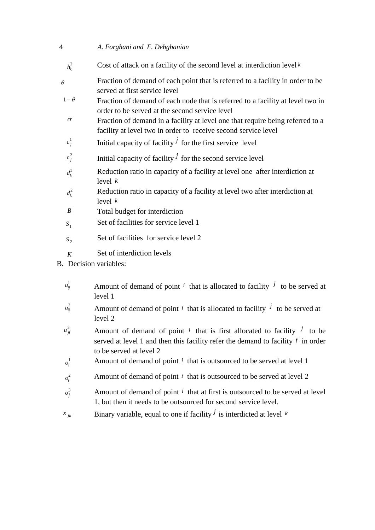#### 4 *A. Forghani and F. Dehghanian*

- Cost of attack on a facility of the second level at interdiction level  $k$ *k h*
- Fraction of demand of each point that is referred to a facility in order to be served at first service level θ
- Fraction of demand of each node that is referred to a facility at level two in order to be served at the second service level  $1 - \theta$
- Fraction of demand in a facility at level one that require being referred to a facility at level two in order to receive second service level σ
- Initial capacity of facility  $\overline{J}$  for the first service level  $c_j^1$
- Initial capacity of facility  $\overline{J}$  for the second service level  $c_j^2$
- Reduction ratio in capacity of a facility at level one after interdiction at level *k* 1  $d_k^1$
- Reduction ratio in capacity of a facility at level two after interdiction at level *k* 2  $d_k^2$
- *B* Total budget for interdiction
- Set of facilities for service level 1 1 *S*
- Set of facilities for service level 2 2 *S*
- *K* Set of interdiction levels
- B. Decision variables:
	- $u_{ii}^1$  $u_{ij}^1$  Amount of demand of point *i* that is allocated to facility *j* to be served at level 1
	- $u_{ii}^2$  $u_{ij}^2$  Amount of demand of point *i* that is allocated to facility *j* to be served at level 2
	- $u_{if}^3$  $u_j^3$  Amount of demand of point *i* that is first allocated to facility *j* to be served at level 1 and then this facility refer the demand to facility *f* in order to be served at level 2
		- 1 *i* Amount of demand of point  $i$  that is outsourced to be served at level 1
		- 2 *i* Amount of demand of point *i* that is outsourced to be served at level 2
	- 3 *j* Amount of demand of point  $i$  that at first is outsourced to be served at level 1, but then it needs to be outsourced for second service level.
- $\chi_{jk}$  **Binary variable, equal to one if facility** *j* is interdicted at level *k*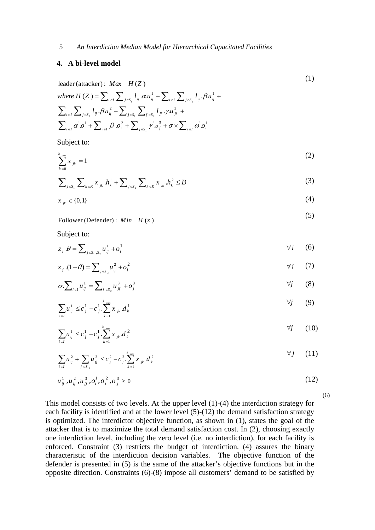#### **4. A bi-level model**

$$
\begin{aligned}\n\text{leader (attacker): } \mathit{Max} \quad H(Z) \\
\text{where } H(Z) &= \sum_{i \in I} \sum_{j \in S_i} l_{ij} \cdot \alpha u_{ij}^1 + \sum_{i \in I} \sum_{j \in S_i} l_{ij} \cdot \beta u_{ij}^1 + \\
\sum_{i \in I} \sum_{j \in S_i} l_{ij} \cdot \beta u_{ij}^2 + \sum_{j \in S_i} \sum_{f \in S_i} l_{j} \cdot \gamma u_{jj}^3 + \\
\sum_{i \in I} \alpha \cdot \alpha_i^1 + \sum_{i \in I} \beta \cdot \alpha_i^2 + \sum_{j \in S_i} \gamma \cdot \alpha_j^3 + \sigma \times \sum_{i \in I} \omega \cdot \alpha_i^1\n\end{aligned}
$$
\n
$$
(1)
$$

Subject to:

$$
\sum_{k=0}^{k_{\text{max}}} x_{jk} = 1 \tag{2}
$$

$$
\sum_{j \in S_1} \sum_{k \in K} x_{jk} h_k^1 + \sum_{j \in S_2} \sum_{k \in K} x_{jk} h_k^2 \le B
$$
 (3)

$$
x_{jk} \in \{0,1\} \tag{4}
$$

 (5) Follower (Defender) :  $Min$   $H(z)$ 

Subject to:

$$
z_i \cdot \theta = \sum_{j \in S_1, S_2} u_{ij}^1 + o_i^1 \tag{6}
$$

$$
z_i (1 - \theta) = \sum_{j \in s_2} u_{ij}^2 + o_i^2
$$
 (7)

$$
\sigma \cdot \sum_{i \in I} u_{ij}^1 = \sum_{f \in S_2} u_{if}^3 + \sigma^3_j \tag{8}
$$

$$
\sum_{i \in I} u_{ij}^1 \leq c_j^1 - c_j^1 \sum_{k=1}^k x_{jk} d_k^1 \tag{9}
$$

$$
\sum_{i \in I} u_{ij}^1 \leq c_j^1 - c_j^1 \cdot \sum_{k=1}^{k_{\text{max}}} x_{jk} d_k^2 \tag{10}
$$

$$
\sum_{i \in I} u_{ij}^2 + \sum_{f \in S_{-1}} u_{jj}^3 \leq c_j^2 - c_j^2 \cdot \sum_{k=1}^{k_{\text{max}}} x_{jk} d_k^2
$$
 (11)

$$
u_{ij}^1, u_{ij}^2, u_{jj}^3, o_i^1, o_i^2, o_j^3 \ge 0
$$
\n(12)

(6)

This model consists of two levels. At the upper level (1)-(4) the interdiction strategy for each facility is identified and at the lower level (5)-(12) the demand satisfaction strategy is optimized. The interdictor objective function, as shown in (1), states the goal of the attacker that is to maximize the total demand satisfaction cost. In (2), choosing exactly one interdiction level, including the zero level (i.e. no interdiction), for each facility is enforced. Constraint (3) restricts the budget of interdiction. (4) assures the binary characteristic of the interdiction decision variables. The objective function of the defender is presented in (5) is the same of the attacker's objective functions but in the opposite direction. Constraints (6)-(8) impose all customers' demand to be satisfied by

$$
\overline{5}
$$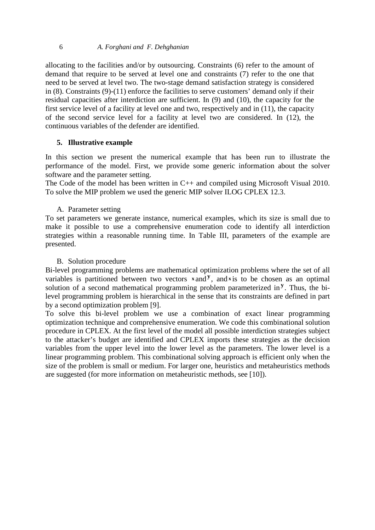#### 6 *A. Forghani and F. Dehghanian*

allocating to the facilities and/or by outsourcing. Constraints (6) refer to the amount of demand that require to be served at level one and constraints (7) refer to the one that need to be served at level two. The two-stage demand satisfaction strategy is considered in (8). Constraints (9)-(11) enforce the facilities to serve customers' demand only if their residual capacities after interdiction are sufficient. In (9) and (10), the capacity for the first service level of a facility at level one and two, respectively and in (11), the capacity of the second service level for a facility at level two are considered. In (12), the continuous variables of the defender are identified.

## **5. Illustrative example**

In this section we present the numerical example that has been run to illustrate the performance of the model. First, we provide some generic information about the solver software and the parameter setting.

The Code of the model has been written in C++ and compiled using Microsoft Visual 2010. To solve the MIP problem we used the generic MIP solver ILOG CPLEX 12.3.

A. Parameter setting

To set parameters we generate instance, numerical examples, which its size is small due to make it possible to use a comprehensive enumeration code to identify all interdiction strategies within a reasonable running time. In Table III, parameters of the example are presented.

## B. Solution procedure

Bi-level programming problems are mathematical optimization problems where the set of all variables is partitioned between two vectors  $x$  and  $y$ , and  $x$  is to be chosen as an optimal solution of a second mathematical programming problem parameterized in **<sup>y</sup>** . Thus, the bilevel programming problem is hierarchical in the sense that its constraints are defined in part by a second optimization problem [9].

To solve this bi-level problem we use a combination of exact linear programming optimization technique and comprehensive enumeration. We code this combinational solution procedure in CPLEX. At the first level of the model all possible interdiction strategies subject to the attacker's budget are identified and CPLEX imports these strategies as the decision variables from the upper level into the lower level as the parameters. The lower level is a linear programming problem. This combinational solving approach is efficient only when the size of the problem is small or medium. For larger one, heuristics and metaheuristics methods are suggested (for more information on metaheuristic methods, see [10]).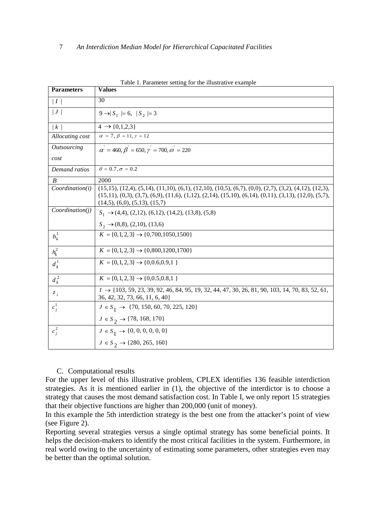| <b>Parameters</b>   | $\alpha$ is a different setting for the integrative example<br><b>Values</b>                                                                                                                                                                                                                        |  |  |  |
|---------------------|-----------------------------------------------------------------------------------------------------------------------------------------------------------------------------------------------------------------------------------------------------------------------------------------------------|--|--|--|
| I                   | 30                                                                                                                                                                                                                                                                                                  |  |  |  |
| J                   | $9 \rightarrow S_1 = 6,  S_2  = 3$                                                                                                                                                                                                                                                                  |  |  |  |
| $\lfloor k \rfloor$ | $4 \rightarrow \{0,1,2,3\}$                                                                                                                                                                                                                                                                         |  |  |  |
| Allocating cost     | $\alpha = 7, \beta = 11, \gamma = 12$                                                                                                                                                                                                                                                               |  |  |  |
| <b>Outsourcing</b>  | $\alpha^{'} = 460, \beta^{'} = 650, \gamma^{'} = 700, \omega^{'} = 220$                                                                                                                                                                                                                             |  |  |  |
| cost                |                                                                                                                                                                                                                                                                                                     |  |  |  |
| Demand ratios       | $\theta = 0.7, \sigma = 0.2$                                                                                                                                                                                                                                                                        |  |  |  |
| B                   | 2000                                                                                                                                                                                                                                                                                                |  |  |  |
| Coordinate(i)       | $(15,15)$ , $(12,4)$ , $(5,14)$ , $(11,10)$ , $(6,1)$ , $(12,10)$ , $(10,5)$ , $(6,7)$ , $(0,0)$ , $(2,7)$ , $(3,2)$ , $(4,12)$ , $(12,3)$ ,<br>$(15,11), (0,3), (3,7), (6,9), (11,6), (1,12), (2,14), (15,10), (6,14), (0,11), (3,13), (12,0), (5,7),$<br>$(14,5)$ , $(6,0)$ , $(5,13)$ , $(15,7)$ |  |  |  |
| Coordinate(i)       | $S_1 \rightarrow (4,4)$ , (2,12), (6,12), (14,2), (13,8), (5,8)                                                                                                                                                                                                                                     |  |  |  |
|                     | $S_2 \rightarrow (8,8), (2,10), (13,6)$                                                                                                                                                                                                                                                             |  |  |  |
| $h_k^1$             | $K = \{0, 1, 2, 3\} \rightarrow \{0, 700, 1050, 1500\}$                                                                                                                                                                                                                                             |  |  |  |
| $h_k^2$             | $K = \{0, 1, 2, 3\} \rightarrow \{0, 800, 1200, 1700\}$                                                                                                                                                                                                                                             |  |  |  |
| $d_k^1$             | $K = \{0, 1, 2, 3\} \rightarrow \{0, 0.6, 0.9, 1\}$                                                                                                                                                                                                                                                 |  |  |  |
| $d_k^2$             | $K = \{0, 1, 2, 3\} \rightarrow \{0, 0.5, 0.8, 1\}$                                                                                                                                                                                                                                                 |  |  |  |
| $z_i$               | $I \rightarrow \{103, 59, 23, 39, 92, 46, 84, 95, 19, 32, 44, 47, 30, 26, 81, 90, 103, 14, 70, 83, 52, 61,$<br>36, 42, 32, 73, 66, 11, 6, 40}                                                                                                                                                       |  |  |  |
| $c_i^1$             | $J \in S_1 \rightarrow \{70, 150, 60, 70, 225, 120\}$                                                                                                                                                                                                                                               |  |  |  |
|                     | $J \in S_2 \rightarrow \{78, 168, 170\}$                                                                                                                                                                                                                                                            |  |  |  |
| $c_i^2$             | $J \in S_1 \rightarrow \{0, 0, 0, 0, 0, 0\}$                                                                                                                                                                                                                                                        |  |  |  |
|                     | $J \in S_2 \rightarrow \{280, 265, 160\}$                                                                                                                                                                                                                                                           |  |  |  |

Table 1. Parameter setting for the illustrative example

#### C. Computational results

For the upper level of this illustrative problem, CPLEX identifies 136 feasible interdiction strategies. As it is mentioned earlier in (1), the objective of the interdictor is to choose a strategy that causes the most demand satisfaction cost. In Table I, we only report 15 strategies that their objective functions are higher than 200,000 (unit of money).

In this example the 5th interdiction strategy is the best one from the attacker's point of view (see Figure 2).

Reporting several strategies versus a single optimal strategy has some beneficial points. It helps the decision-makers to identify the most critical facilities in the system. Furthermore, in real world owing to the uncertainty of estimating some parameters, other strategies even may be better than the optimal solution.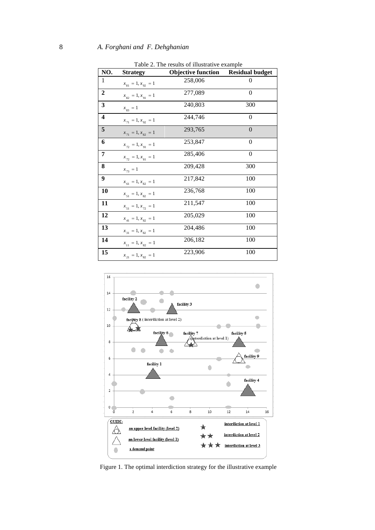|                         | $1$ avie $2$ . The results of inustrative example. |                           |                        |  |  |
|-------------------------|----------------------------------------------------|---------------------------|------------------------|--|--|
| NO.                     | <b>Strategy</b>                                    | <b>Objective function</b> | <b>Residual budget</b> |  |  |
| $\mathbf{1}$            | $x_{81} = 1, x_{92} = 1$                           | 258,006                   | 0                      |  |  |
| $\boldsymbol{2}$        | $x_{82} = 1, x_{91} = 1$                           | 277,089                   | $\overline{0}$         |  |  |
| 3                       | $x_{83} = 1$                                       | 240,803                   | 300                    |  |  |
| $\overline{\mathbf{4}}$ | $x_{71} = 1, x_{92} = 1$                           | 244,746                   | $\overline{0}$         |  |  |
| 5                       | $x_{71} = 1, x_{82} = 1$                           | 293,765                   | $\overline{0}$         |  |  |
| 6                       | $x_{72} = 1, x_{91} = 1$                           | 253,847                   | $\theta$               |  |  |
| 7                       | $x_{72} = 1, x_{81} = 1$                           | 285,406                   | $\boldsymbol{0}$       |  |  |
| 8                       | $x_{73} = 1$                                       | 209,428                   | 300                    |  |  |
| 9                       | $x_{61} = 1, x_{82} = 1$                           | 217,842                   | 100                    |  |  |
| 10                      | $x_{51} = 1, x_{82} = 1$                           | 236,768                   | 100                    |  |  |
| 11                      | $x_{51} = 1, x_{72} = 1$                           | 211,547                   | 100                    |  |  |
| 12                      | $x_{41} = 1, x_{82} = 1$                           | 205,029                   | 100                    |  |  |
| 13                      | $x_{31} = 1, x_{82} = 1$                           | 204,486                   | 100                    |  |  |
| 14                      | $x_{11} = 1, x_{82} = 1$                           | 206,182                   | 100                    |  |  |
| 15                      | $x_{21} = 1, x_{82} = 1$                           | 223,906                   | 100                    |  |  |
|                         |                                                    |                           |                        |  |  |

Table 2. The results of illustrative example



Figure 1. The optimal interdiction strategy for the illustrative example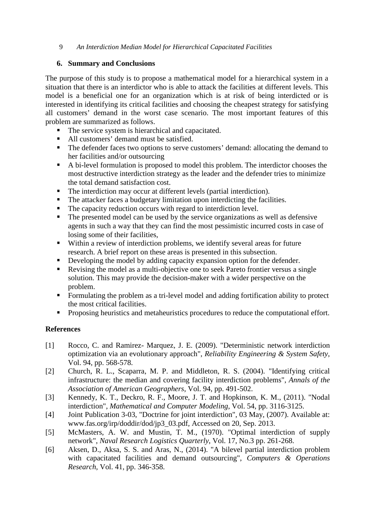### 9 *An Interdiction Median Model for Hierarchical Capacitated Facilities*

# **6. Summary and Conclusions**

The purpose of this study is to propose a mathematical model for a hierarchical system in a situation that there is an interdictor who is able to attack the facilities at different levels. This model is a beneficial one for an organization which is at risk of being interdicted or is interested in identifying its critical facilities and choosing the cheapest strategy for satisfying all customers' demand in the worst case scenario. The most important features of this problem are summarized as follows.

- The service system is hierarchical and capacitated.
- All customers' demand must be satisfied.
- The defender faces two options to serve customers' demand: allocating the demand to her facilities and/or outsourcing
- A bi-level formulation is proposed to model this problem. The interdictor chooses the most destructive interdiction strategy as the leader and the defender tries to minimize the total demand satisfaction cost.
- The interdiction may occur at different levels (partial interdiction).
- The attacker faces a budgetary limitation upon interdicting the facilities.
- The capacity reduction occurs with regard to interdiction level.
- The presented model can be used by the service organizations as well as defensive agents in such a way that they can find the most pessimistic incurred costs in case of losing some of their facilities,
- Within a review of interdiction problems, we identify several areas for future research. A brief report on these areas is presented in this subsection.
- Developing the model by adding capacity expansion option for the defender.
- Revising the model as a multi-objective one to seek Pareto frontier versus a single solution. This may provide the decision-maker with a wider perspective on the problem.
- Formulating the problem as a tri-level model and adding fortification ability to protect the most critical facilities.
- **Proposing heuristics and metaheuristics procedures to reduce the computational effort.**

# **References**

- [1] Rocco, C. and Ramirez- Marquez, J. E. (2009). "Deterministic network interdiction optimization via an evolutionary approach", *Reliability Engineering & System Safety*, Vol. 94, pp. 568-578.
- [2] Church, R. L., Scaparra, M. P. and Middleton, R. S. (2004). "Identifying critical infrastructure: the median and covering facility interdiction problems", *Annals of the Association of American Geographers*, Vol. 94, pp. 491-502.
- [3] Kennedy, K. T., Deckro, R. F., Moore, J. T. and Hopkinson, K. M., (2011). "Nodal interdiction", *Mathematical and Computer Modeling*, Vol. 54, pp. 3116-3125.
- [4] Joint Publication 3-03, "Doctrine for joint interdiction", 03 May, (2007). Available at: www.fas.org/irp/doddir/dod/jp3\_03.pdf*,* Accessed on 20, Sep. 2013.
- [5] McMasters, A. W. and Mustin, T. M., (1970). "Optimal interdiction of supply network", *Naval Research Logistics Quarterly*, Vol. 17, No.3 pp. 261-268.
- [6] Aksen, D., Aksa, S. S. and Aras, N., (2014). "A bilevel partial interdiction problem with capacitated facilities and demand outsourcing", *Computers & Operations Research*, Vol. 41, pp. 346-358.